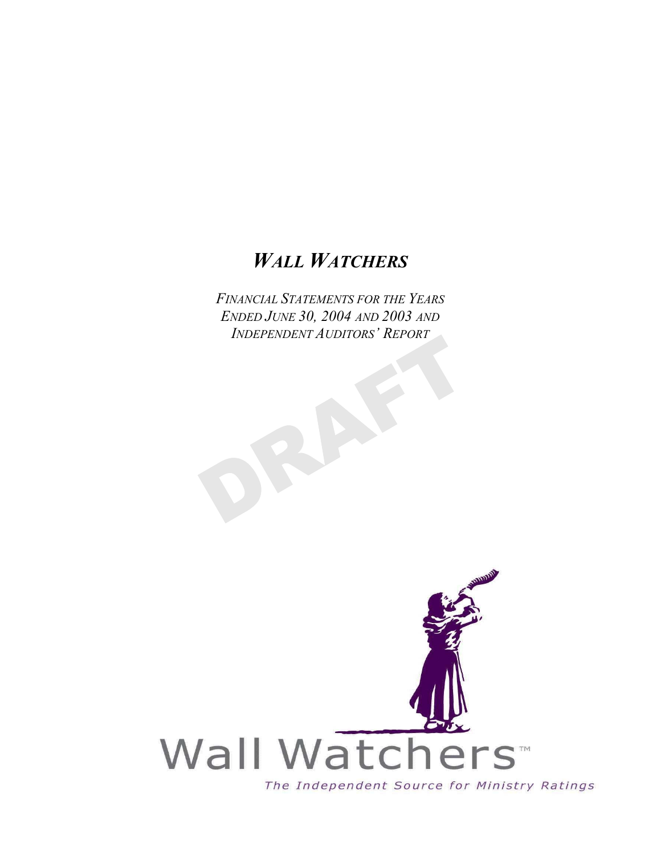# *WALL WATCHERS*

*FINANCIAL STATEMENTS FOR THE YEARS ENDED JUNE 30, 2004 AND 2003 AND INDEPENDENT AUDITORS' REPORT*

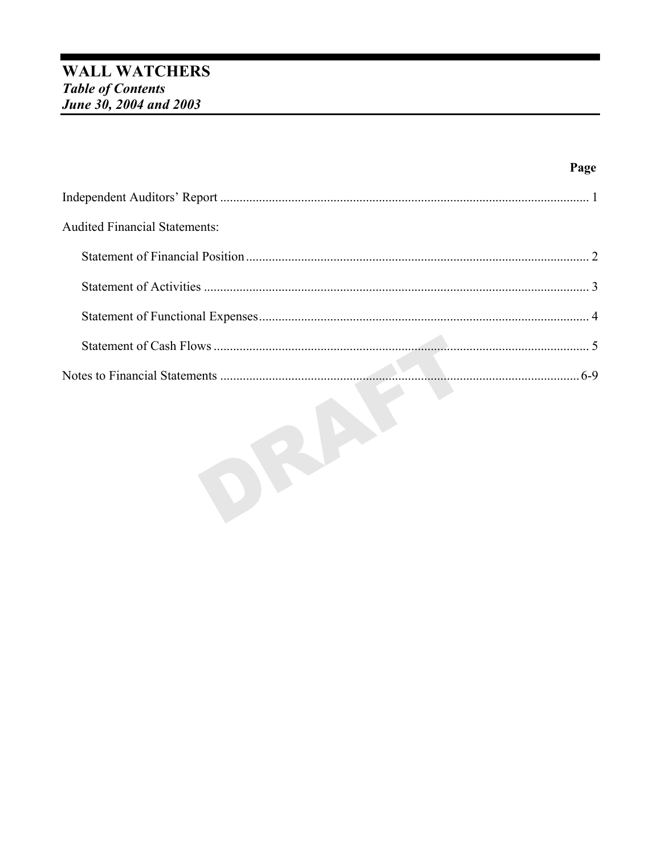| <b>Audited Financial Statements:</b> |  |
|--------------------------------------|--|
|                                      |  |
|                                      |  |
|                                      |  |
|                                      |  |
|                                      |  |

Page

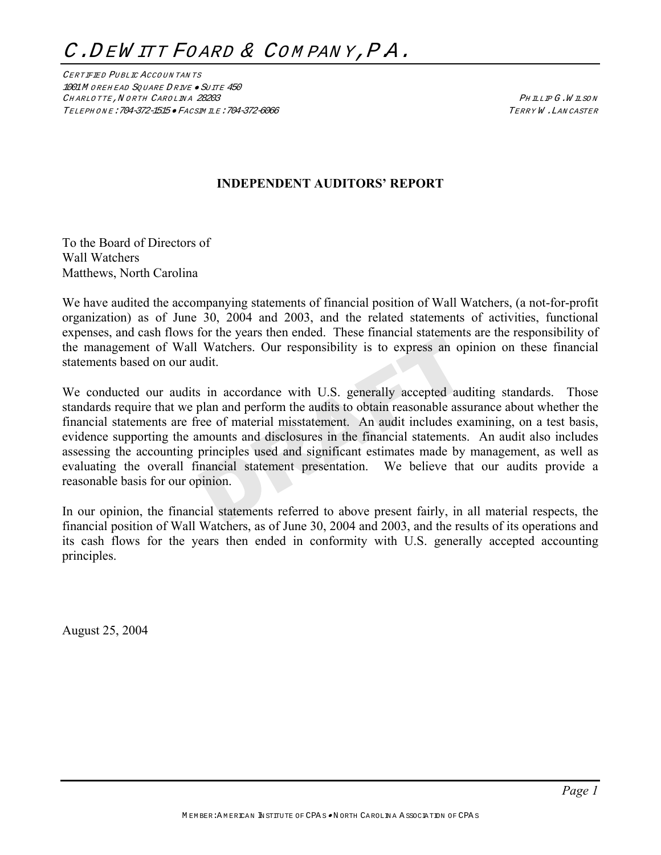CERTIFIED PUBLIC ACCOUNTANTS 1001M OREHEAD SQUARE DRIVE · SUITE 450 CHARLOTTE, NORTH CAROLINA 28203 CHARLOTTE, NORTH CAROLINA 28203 TELEPH ON E:704-372-1515 • FACSIM ILE:704-372-6066 TERRY W .LAN CASTER

# **INDEPENDENT AUDITORS' REPORT**

To the Board of Directors of Wall Watchers Matthews, North Carolina

We have audited the accompanying statements of financial position of Wall Watchers, (a not-for-profit organization) as of June 30, 2004 and 2003, and the related statements of activities, functional expenses, and cash flows for the years then ended. These financial statements are the responsibility of the management of Wall Watchers. Our responsibility is to express an opinion on these financial statements based on our audit.

We conducted our audits in accordance with U.S. generally accepted auditing standards. Those standards require that we plan and perform the audits to obtain reasonable assurance about whether the financial statements are free of material misstatement. An audit includes examining, on a test basis, evidence supporting the amounts and disclosures in the financial statements. An audit also includes assessing the accounting principles used and significant estimates made by management, as well as evaluating the overall financial statement presentation. We believe that our audits provide a reasonable basis for our opinion.

In our opinion, the financial statements referred to above present fairly, in all material respects, the financial position of Wall Watchers, as of June 30, 2004 and 2003, and the results of its operations and its cash flows for the years then ended in conformity with U.S. generally accepted accounting principles.

August 25, 2004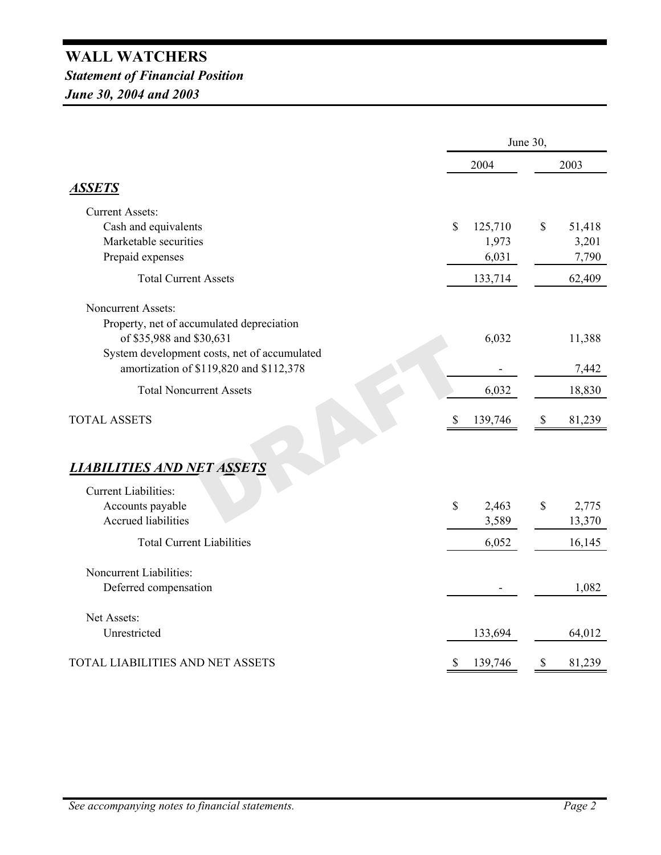# **WALL WATCHERS** *Statement of Financial Position June 30, 2004 and 2003*

|                                              |               | June 30,                  |        |  |  |
|----------------------------------------------|---------------|---------------------------|--------|--|--|
|                                              | 2004          |                           | 2003   |  |  |
| <u>ASSETS</u>                                |               |                           |        |  |  |
| <b>Current Assets:</b>                       |               |                           |        |  |  |
| Cash and equivalents                         | \$<br>125,710 | \$                        | 51,418 |  |  |
| Marketable securities                        | 1,973         |                           | 3,201  |  |  |
| Prepaid expenses                             | 6,031         |                           | 7,790  |  |  |
| <b>Total Current Assets</b>                  | 133,714       |                           | 62,409 |  |  |
| <b>Noncurrent Assets:</b>                    |               |                           |        |  |  |
| Property, net of accumulated depreciation    |               |                           |        |  |  |
| of \$35,988 and \$30,631                     | 6,032         |                           | 11,388 |  |  |
| System development costs, net of accumulated |               |                           |        |  |  |
| amortization of \$119,820 and \$112,378      |               |                           | 7,442  |  |  |
| <b>Total Noncurrent Assets</b>               | 6,032         |                           | 18,830 |  |  |
| <b>TOTAL ASSETS</b>                          | 139,746<br>S  | $\mathbb{S}$              | 81,239 |  |  |
|                                              |               |                           |        |  |  |
| <b>LIABILITIES AND NET ASSETS</b>            |               |                           |        |  |  |
| <b>Current Liabilities:</b>                  |               |                           |        |  |  |
| Accounts payable                             | \$<br>2,463   | \$                        | 2,775  |  |  |
| <b>Accrued liabilities</b>                   | 3,589         |                           | 13,370 |  |  |
| <b>Total Current Liabilities</b>             | 6,052         |                           | 16,145 |  |  |
| Noncurrent Liabilities:                      |               |                           |        |  |  |
| Deferred compensation                        |               |                           | 1,082  |  |  |
| Net Assets:                                  |               |                           |        |  |  |
| Unrestricted                                 | 133,694       |                           | 64,012 |  |  |
| TOTAL LIABILITIES AND NET ASSETS             | \$<br>139,746 | $\boldsymbol{\mathsf{S}}$ | 81,239 |  |  |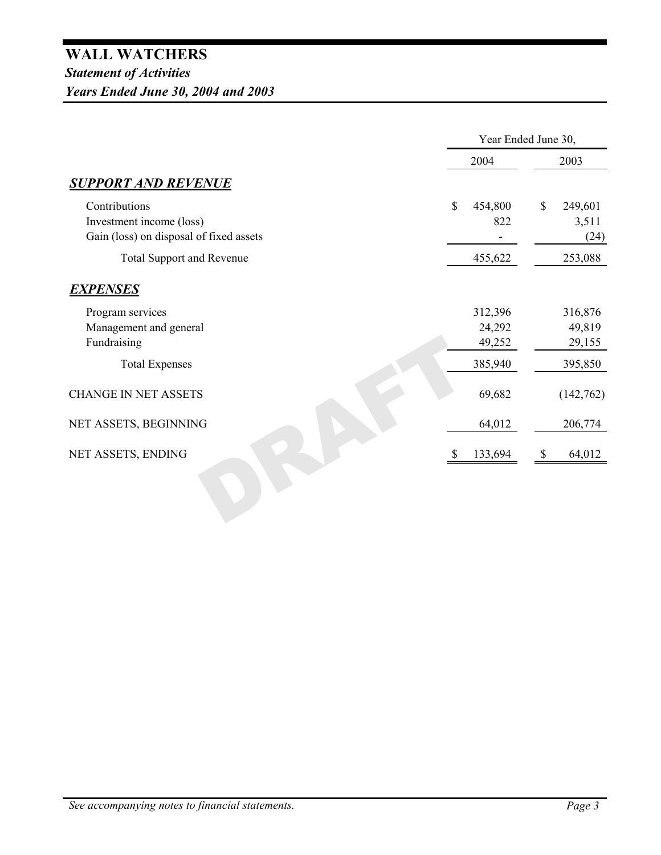|                                         | Year Ended June 30, |               |           |  |  |
|-----------------------------------------|---------------------|---------------|-----------|--|--|
|                                         | 2004                |               | 2003      |  |  |
| <b>SUPPORT AND REVENUE</b>              |                     |               |           |  |  |
| Contributions                           | \$<br>454,800       | $\mathbb{S}$  | 249,601   |  |  |
| Investment income (loss)                | 822                 |               | 3,511     |  |  |
| Gain (loss) on disposal of fixed assets |                     |               | (24)      |  |  |
| <b>Total Support and Revenue</b>        | 455,622             |               | 253,088   |  |  |
| <b>EXPENSES</b>                         |                     |               |           |  |  |
| Program services                        | 312,396             |               | 316,876   |  |  |
| Management and general                  | 24,292              |               | 49,819    |  |  |
| Fundraising                             | 49,252              |               | 29,155    |  |  |
| <b>Total Expenses</b>                   | 385,940             |               | 395,850   |  |  |
| <b>CHANGE IN NET ASSETS</b>             | 69,682              |               | (142,762) |  |  |
| NET ASSETS, BEGINNING                   | 64,012              |               | 206,774   |  |  |
| NET ASSETS, ENDING                      | 133,694             | $\mathcal{S}$ | 64,012    |  |  |
|                                         |                     |               |           |  |  |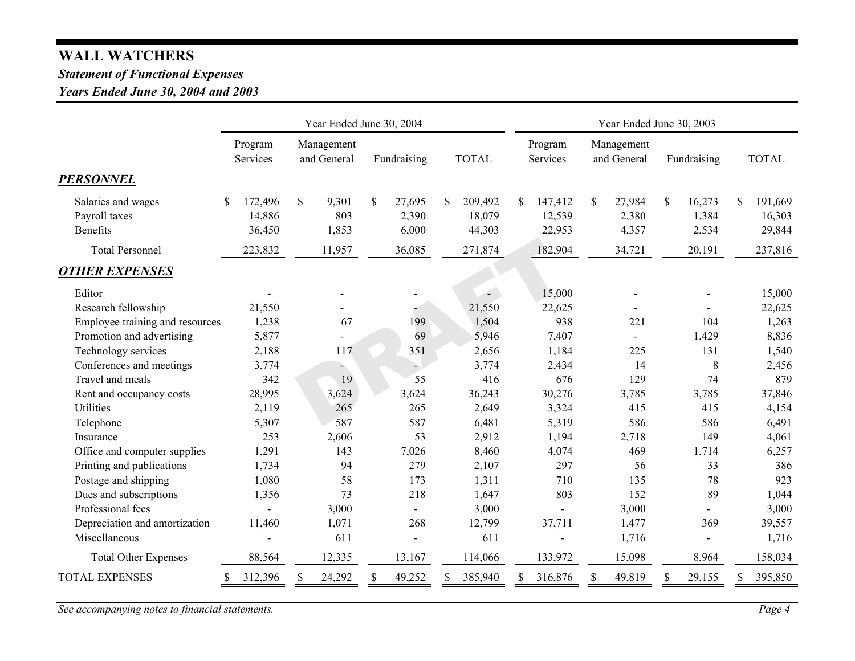# **WALL WATCHERS**

# *Statement of Functional Expenses*

*Years Ended June 30, 2004 and 2003*

|                                                        | Year Ended June 30, 2004          |              |                           |    |                          |               | Year Ended June 30, 2003    |              |                             |    |                           |              |                          |     |                             |  |
|--------------------------------------------------------|-----------------------------------|--------------|---------------------------|----|--------------------------|---------------|-----------------------------|--------------|-----------------------------|----|---------------------------|--------------|--------------------------|-----|-----------------------------|--|
|                                                        | Program<br>Services               |              | Management<br>and General |    | Fundraising              |               | <b>TOTAL</b>                |              | Program<br>Services         |    | Management<br>and General |              | Fundraising              |     | <b>TOTAL</b>                |  |
| <b>PERSONNEL</b>                                       |                                   |              |                           |    |                          |               |                             |              |                             |    |                           |              |                          |     |                             |  |
| Salaries and wages<br>Payroll taxes<br><b>Benefits</b> | 172,496<br>S.<br>14,886<br>36,450 | $\mathbb{S}$ | 9,301<br>803<br>1,853     | \$ | 27,695<br>2,390<br>6,000 | <sup>\$</sup> | 209,492<br>18,079<br>44,303 | <sup>S</sup> | 147,412<br>12,539<br>22,953 | \$ | 27,984<br>2,380<br>4,357  | $\mathbb{S}$ | 16,273<br>1,384<br>2,534 | \$. | 191,669<br>16,303<br>29,844 |  |
| <b>Total Personnel</b>                                 | 223,832                           |              | 11,957                    |    | 36,085                   |               | 271,874                     |              | 182,904                     |    | 34,721                    |              | 20,191                   |     | 237,816                     |  |
| <b>OTHER EXPENSES</b>                                  |                                   |              |                           |    |                          |               |                             |              |                             |    |                           |              |                          |     |                             |  |
| Editor<br>Research fellowship                          | 21,550                            |              |                           |    |                          |               | $\sim$<br>21,550            |              | 15,000<br>22,625            |    |                           |              |                          |     | 15,000<br>22,625            |  |
| Employee training and resources                        | 1,238                             |              | 67                        |    | 199                      |               | 1,504                       |              | 938                         |    | 221                       |              | 104                      |     | 1,263                       |  |
| Promotion and advertising                              | 5,877                             |              |                           |    | 69                       |               | 5,946                       |              | 7,407                       |    | 225                       |              | 1,429<br>131             |     | 8,836                       |  |
| Technology services<br>Conferences and meetings        | 2,188<br>3,774                    |              | 117                       |    | 351                      |               | 2,656<br>3,774              |              | 1,184<br>2,434              |    | 14                        |              | $\,8\,$                  |     | 1,540<br>2,456              |  |
| Travel and meals                                       | 342                               |              | 19                        |    | 55                       |               | 416                         |              | 676                         |    | 129                       |              | 74                       |     | 879                         |  |
| Rent and occupancy costs                               | 28,995                            |              | 3,624                     |    | 3,624                    |               | 36,243                      |              | 30,276                      |    | 3,785                     |              | 3,785                    |     | 37,846                      |  |
| Utilities<br>Telephone                                 | 2,119<br>5,307                    |              | 265<br>587                |    | 265<br>587               |               | 2,649<br>6,481              |              | 3,324<br>5,319              |    | 415<br>586                |              | 415<br>586               |     | 4,154<br>6,491              |  |
| Insurance                                              | 253                               |              | 2,606                     |    | 53                       |               | 2,912                       |              | 1,194                       |    | 2,718                     |              | 149                      |     | 4,061                       |  |
| Office and computer supplies                           | 1,291                             |              | 143                       |    | 7,026                    |               | 8,460                       |              | 4,074                       |    | 469                       |              | 1,714                    |     | 6,257                       |  |
| Printing and publications                              | 1,734                             |              | 94                        |    | 279                      |               | 2,107                       |              | 297                         |    | 56                        |              | 33                       |     | 386                         |  |
| Postage and shipping                                   | 1,080                             |              | 58                        |    | 173                      |               | 1,311                       |              | 710                         |    | 135                       |              | 78                       |     | 923                         |  |
| Dues and subscriptions                                 | 1,356                             |              | 73                        |    | 218                      |               | 1,647                       |              | 803                         |    | 152                       |              | 89                       |     | 1,044                       |  |
| Professional fees                                      |                                   |              | 3,000                     |    |                          |               | 3,000                       |              |                             |    | 3,000                     |              |                          |     | 3,000                       |  |
| Depreciation and amortization                          | 11,460                            |              | 1,071                     |    | 268                      |               | 12,799                      |              | 37,711                      |    | 1,477                     |              | 369                      |     | 39,557                      |  |
| Miscellaneous                                          |                                   |              | 611                       |    |                          |               | 611                         |              |                             |    | 1,716                     |              |                          |     | 1,716                       |  |
| <b>Total Other Expenses</b>                            | 88,564                            |              | 12,335                    |    | 13,167                   |               | 114,066                     |              | 133,972                     |    | 15,098                    |              | 8,964                    |     | 158,034                     |  |
| <b>TOTAL EXPENSES</b>                                  | 312,396<br>\$                     | \$           | 24,292                    | S  | 49,252                   | \$            | 385,940                     | \$           | 316,876                     | \$ | 49,819                    | \$           | 29,155                   | \$  | 395,850                     |  |

*See accompanying notes to financial statements. Page 4*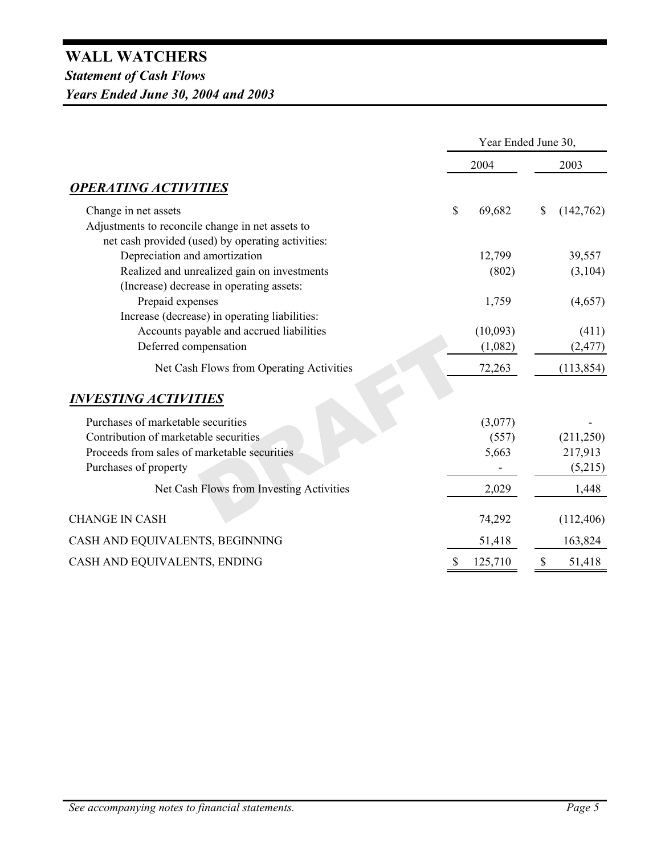# **WALL WATCHERS** *Statement of Cash Flows Years Ended June 30, 2004 and 2003*

|                                                   | Year Ended June 30, |              |            |  |
|---------------------------------------------------|---------------------|--------------|------------|--|
|                                                   | 2004                |              | 2003       |  |
| <b>OPERATING ACTIVITIES</b>                       |                     |              |            |  |
| Change in net assets                              | \$<br>69,682        | $\mathbb{S}$ | (142,762)  |  |
| Adjustments to reconcile change in net assets to  |                     |              |            |  |
| net cash provided (used) by operating activities: |                     |              |            |  |
| Depreciation and amortization                     | 12,799              |              | 39,557     |  |
| Realized and unrealized gain on investments       | (802)               |              | (3,104)    |  |
| (Increase) decrease in operating assets:          |                     |              |            |  |
| Prepaid expenses                                  | 1,759               |              | (4,657)    |  |
| Increase (decrease) in operating liabilities:     |                     |              |            |  |
| Accounts payable and accrued liabilities          | (10,093)            |              | (411)      |  |
| Deferred compensation                             | (1,082)             |              | (2, 477)   |  |
| Net Cash Flows from Operating Activities          | 72,263              |              | (113, 854) |  |
| <i><b>INVESTING ACTIVITIES</b></i>                |                     |              |            |  |
| Purchases of marketable securities                | (3,077)             |              |            |  |
| Contribution of marketable securities             | (557)               |              | (211, 250) |  |
| Proceeds from sales of marketable securities      | 5,663               |              | 217,913    |  |
| Purchases of property                             |                     |              | (5,215)    |  |
| Net Cash Flows from Investing Activities          | 2,029               |              | 1,448      |  |
| <b>CHANGE IN CASH</b>                             | 74,292              |              | (112, 406) |  |
| CASH AND EQUIVALENTS, BEGINNING                   | 51,418              |              | 163,824    |  |
| CASH AND EQUIVALENTS, ENDING                      | \$<br>125,710       | $\mathbb S$  | 51,418     |  |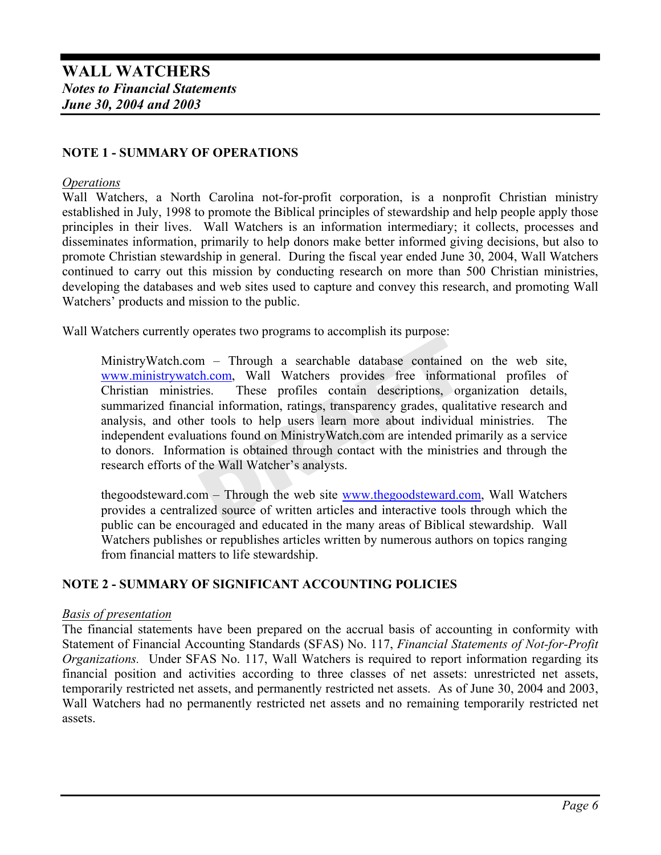# **NOTE 1 - SUMMARY OF OPERATIONS**

#### *Operations*

Wall Watchers, a North Carolina not-for-profit corporation, is a nonprofit Christian ministry established in July, 1998 to promote the Biblical principles of stewardship and help people apply those principles in their lives. Wall Watchers is an information intermediary; it collects, processes and disseminates information, primarily to help donors make better informed giving decisions, but also to promote Christian stewardship in general. During the fiscal year ended June 30, 2004, Wall Watchers continued to carry out this mission by conducting research on more than 500 Christian ministries, developing the databases and web sites used to capture and convey this research, and promoting Wall Watchers' products and mission to the public.

Wall Watchers currently operates two programs to accomplish its purpose:

MinistryWatch.com – Through a searchable database contained on the web site, www.ministrywatch.com, Wall Watchers provides free informational profiles of Christian ministries. These profiles contain descriptions, organization details, summarized financial information, ratings, transparency grades, qualitative research and analysis, and other tools to help users learn more about individual ministries. The independent evaluations found on MinistryWatch.com are intended primarily as a service to donors. Information is obtained through contact with the ministries and through the research efforts of the Wall Watcher's analysts.

thegoodsteward.com – Through the web site www.thegoodsteward.com, Wall Watchers provides a centralized source of written articles and interactive tools through which the public can be encouraged and educated in the many areas of Biblical stewardship. Wall Watchers publishes or republishes articles written by numerous authors on topics ranging from financial matters to life stewardship.

# **NOTE 2 - SUMMARY OF SIGNIFICANT ACCOUNTING POLICIES**

#### *Basis of presentation*

The financial statements have been prepared on the accrual basis of accounting in conformity with Statement of Financial Accounting Standards (SFAS) No. 117, *Financial Statements of Not-for-Profit Organizations.* Under SFAS No. 117, Wall Watchers is required to report information regarding its financial position and activities according to three classes of net assets: unrestricted net assets, temporarily restricted net assets, and permanently restricted net assets. As of June 30, 2004 and 2003, Wall Watchers had no permanently restricted net assets and no remaining temporarily restricted net assets.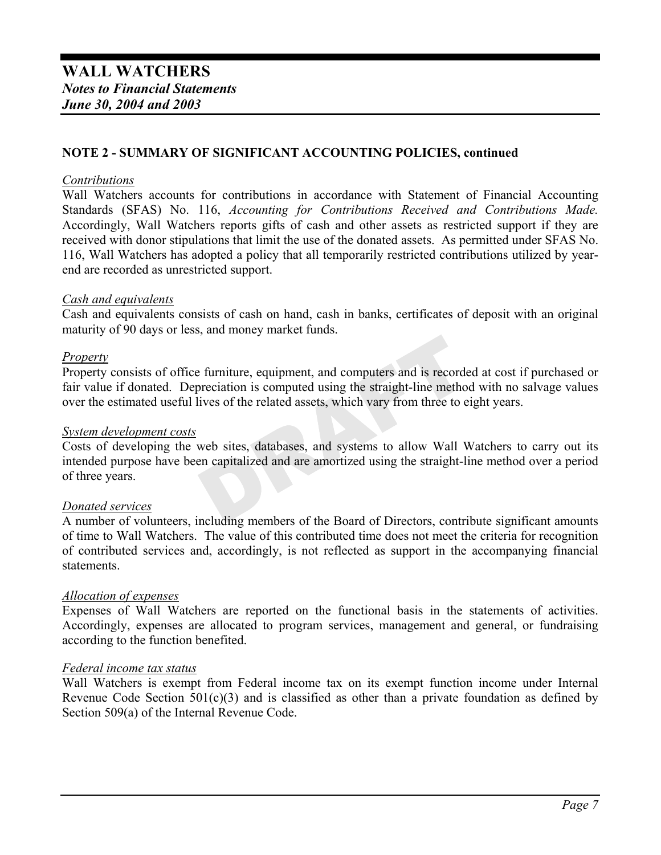### **NOTE 2 - SUMMARY OF SIGNIFICANT ACCOUNTING POLICIES, continued**

#### *Contributions*

Wall Watchers accounts for contributions in accordance with Statement of Financial Accounting Standards (SFAS) No. 116, *Accounting for Contributions Received and Contributions Made.* Accordingly, Wall Watchers reports gifts of cash and other assets as restricted support if they are received with donor stipulations that limit the use of the donated assets. As permitted under SFAS No. 116, Wall Watchers has adopted a policy that all temporarily restricted contributions utilized by yearend are recorded as unrestricted support.

#### *Cash and equivalents*

Cash and equivalents consists of cash on hand, cash in banks, certificates of deposit with an original maturity of 90 days or less, and money market funds.

### *Property*

Property consists of office furniture, equipment, and computers and is recorded at cost if purchased or fair value if donated. Depreciation is computed using the straight-line method with no salvage values over the estimated useful lives of the related assets, which vary from three to eight years.

#### *System development costs*

Costs of developing the web sites, databases, and systems to allow Wall Watchers to carry out its intended purpose have been capitalized and are amortized using the straight-line method over a period of three years.

#### *Donated services*

A number of volunteers, including members of the Board of Directors, contribute significant amounts of time to Wall Watchers. The value of this contributed time does not meet the criteria for recognition of contributed services and, accordingly, is not reflected as support in the accompanying financial **statements** 

#### *Allocation of expenses*

Expenses of Wall Watchers are reported on the functional basis in the statements of activities. Accordingly, expenses are allocated to program services, management and general, or fundraising according to the function benefited.

#### *Federal income tax status*

Wall Watchers is exempt from Federal income tax on its exempt function income under Internal Revenue Code Section  $501(c)(3)$  and is classified as other than a private foundation as defined by Section 509(a) of the Internal Revenue Code.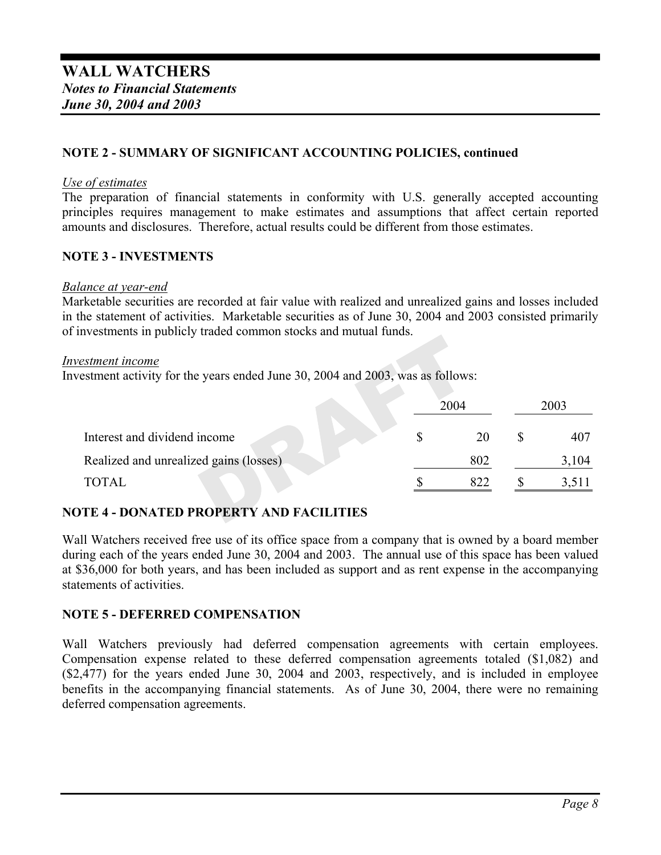# **NOTE 2 - SUMMARY OF SIGNIFICANT ACCOUNTING POLICIES, continued**

#### *Use of estimates*

The preparation of financial statements in conformity with U.S. generally accepted accounting principles requires management to make estimates and assumptions that affect certain reported amounts and disclosures. Therefore, actual results could be different from those estimates.

#### **NOTE 3 - INVESTMENTS**

#### *Balance at year-end*

Marketable securities are recorded at fair value with realized and unrealized gains and losses included in the statement of activities. Marketable securities as of June 30, 2004 and 2003 consisted primarily of investments in publicly traded common stocks and mutual funds.

#### *Investment income*

Investment activity for the years ended June 30, 2004 and 2003, was as follows:

|                                        | 2004 | 2003  |
|----------------------------------------|------|-------|
| Interest and dividend income           | 20   | 407   |
| Realized and unrealized gains (losses) | 802  | 3,104 |
| TOTAL                                  | 822  |       |

# **NOTE 4 - DONATED PROPERTY AND FACILITIES**

Wall Watchers received free use of its office space from a company that is owned by a board member during each of the years ended June 30, 2004 and 2003. The annual use of this space has been valued at \$36,000 for both years, and has been included as support and as rent expense in the accompanying statements of activities.

#### **NOTE 5 - DEFERRED COMPENSATION**

Wall Watchers previously had deferred compensation agreements with certain employees. Compensation expense related to these deferred compensation agreements totaled (\$1,082) and (\$2,477) for the years ended June 30, 2004 and 2003, respectively, and is included in employee benefits in the accompanying financial statements. As of June 30, 2004, there were no remaining deferred compensation agreements.